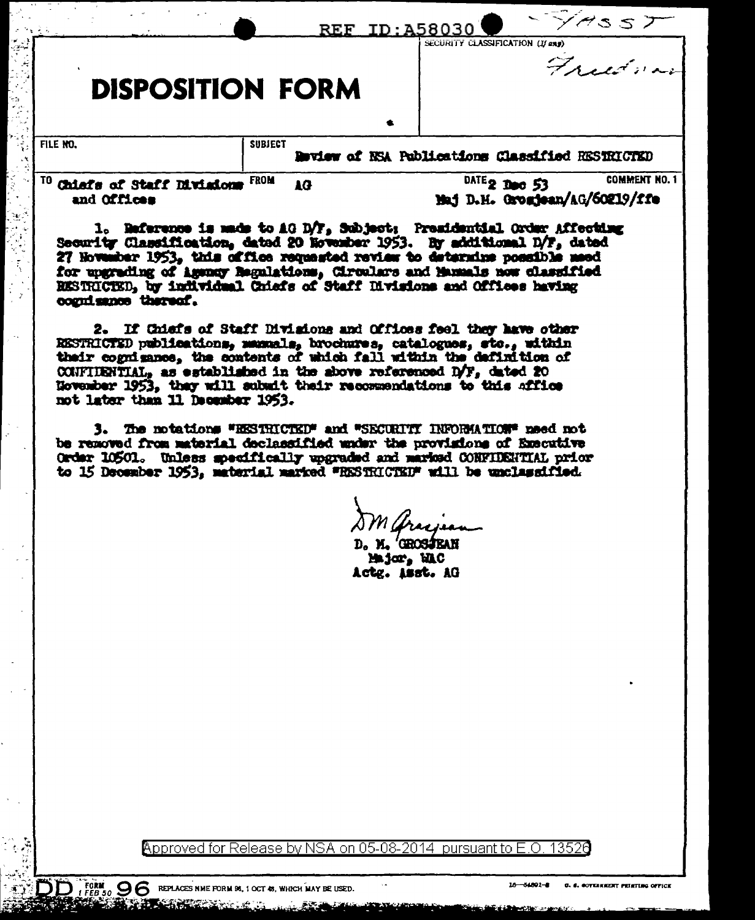| TO<br>Chiefs of Staff Divisions<br>and Offices | <b>FROM</b>    | 1G |           | $\frac{\text{DATE}}{2}$ Dec 53<br>Maj D.H. Grozjean/AG/60219/ffe | <b>COMMENT NO. 1</b> |
|------------------------------------------------|----------------|----|-----------|------------------------------------------------------------------|----------------------|
| FILE NO.                                       | <b>SUBJECT</b> |    | $\bullet$ | Deview of NSA Publications Classified RESTRICTED                 |                      |
| <b>DISPOSITION FORM</b>                        |                |    |           |                                                                  | Freedman             |
|                                                |                |    |           | REF ID: A58030<br>SECURITY CLASSIFICATION (If eng)               |                      |

Security Classification, dated 20 November 1953. By additional D/F, dated 27 Howenber 1953, this office requested review to determine possible meed for upgrading of Agency Regulations, Circulars and Manuals now classified RESTRICTED, by individual Chiefs of Staff Divisions and Offices having cogni sance thereof.

ં સુર

2. If Chiefs of Staff Divisions and Offices feel they have other RESTRICTED publications, manuals, brochures, catalogues, sto., within their cognizance, the contents of which fall within the definition of CONFIDENTIAL, as established in the above referenced  $D/F<sub>s</sub>$  dated 20 November 1953, they will submit their recommendations to this affice not later than 11 December 1953.

3. The notations "EESTRICTED" and "SECURITI INFORMATION" need not be removed from material declassified under the provisions of Executive Order 10501. Unless specifically upgraded and marked CONFIDENTIAL prior to 15 December 1953, material marked "RESTRICTED" will be unclassified.

D. M. 'GROSJEAN Major, MAC Actg. Asst. AG

Approved for Release by NSA on 05-08-2014 pursuant to E.O 13526

 $D$ , FORM,  $96$  REPLACES NME FORM 86, 1 OCT 45, WHICH MAY BE USED.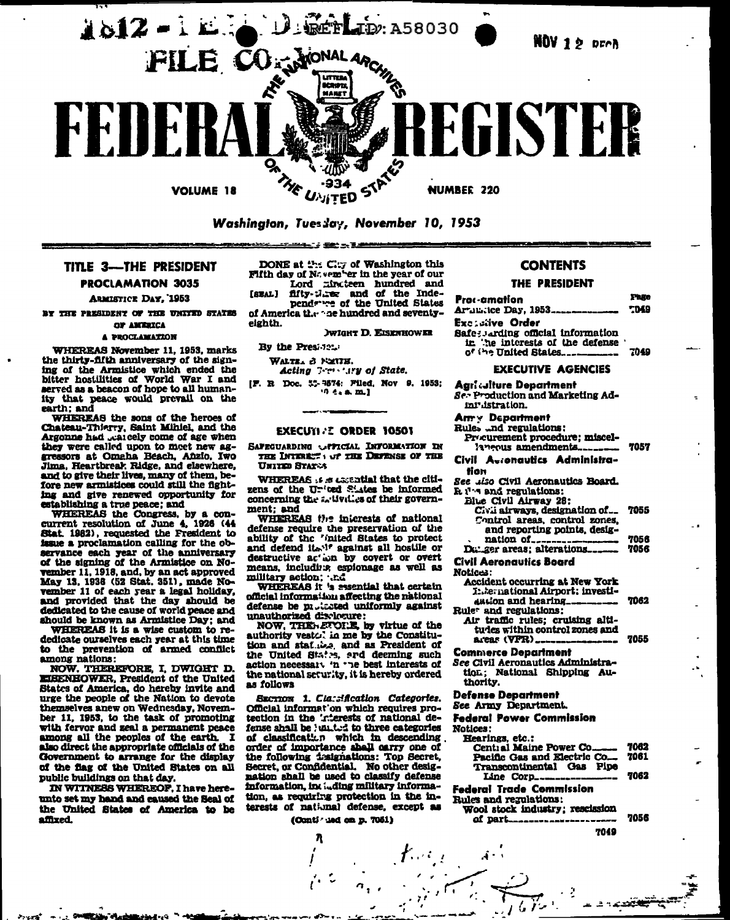

# TITLE 3-THE PRESIDENT **PROCLAMATION 3035**

**ARMISTICE DAY, 1953** 

BY THE PRESIDENT OF THE UNITED STATES OF AMERICA

# **A PROCLAMATION**

WHEREAS November 11, 1953, marks the thirty-fifth anniversary of the signing of the Armistice which ended the<br>bitter hostilities of World War I and<br>served as a beacon of hope to all humanity that peace would prevail on the

earth; and WHEREAS the sons of the heroes of Chateau-Thierry, Saint Mihlel, and the Argonne had carely come of age when they were called upon to meet new aggressors at Omaha Beach, Añzio, Iwo Jima, Heartbreak Ridge, and elsewhere, and to give their lives, many of them, before new armistices could still the fighting and give renewed opportunity for establishing a true peace; and<br>WHEREAS the Congress, by a con-

current resolution of June 4, 1926 (44 Stat. 1982), requested the Fresident to issue a proclamation calling for the observance each year of the anniversary of the signing of the Armistice on November 11, 1918, and, by an act approved<br>May 13, 1938 (52 Stat. 351), made November 11 of each year a legal holiday. and provided that the day should be dedicated to the cause of world peace and should be known as Armistice Day: and

WHEREAS it is a wise custom to rededicate ourselves each year at this time<br>to the prevention of armed conflict among nations:

NOW. THEREFORE, I, DWIGHT D. EISENHOWER, President of the United States of America, do hereby invite and<br>urge the people of the Nation to devote themselves anew on Wednesday, November 11, 1953, to the task of promoting with fervor and zeal a permanent peace among all the peoples of the earth. I also direct the appropriate officials of the Government to arrange for the display of the flag of the United States on all public buildings on that day.

IN WITNESS WHEREOF, I have hereunto set my hand and caused the Seal of the United States of America to be affixed.

غماء مندلا

DONE at the City of Washington this Fifth day of November in the year of our Lord minuteen hundred and<br>fifty-Miner and of the Inde-

فتتنقذ الرناك ترينتنين

[SEAL] pendance of the United States

of America the ne hundred and seventyeighth.

**RELATE DE EXEMPLANTE** 

By the Presi 121.

WALTER & FORTH.

Acting 7-restiry of State.

[F. R. Doc. 55-9574: Filed, Nov. 9. 1953;  $9.6.8 m.1$ 

#### **EXECUTI .: ORDER 10501**

SAFEGUARDING OFFICIAL INFORMATION IN THE INTEREST : OF THE DEFENSE OF THE UNITED STATES

WHEREAS is a casatial that the citizens of the United States be informed concerning the artivities of their government: and

WHEREAS the interests of national defense require the preservation of the<br>ability of the "inited States to protect and defend it. '' against all hostile or destructive ac' ion by covert or overt means, includius, espionage as well as military action; .....

official information affecting the national defense be protected uniformly against unauthorized disclosure:

NOW, THERETORE, by virtue of the authority vesto. in me by the Constitution and stat.......... and as President of the United States, and deeming such action necessary 'n 'ne best interests of the national seturity, it is hereby ordered as follows

SECTION 1. Classification Categories. Official informat'on which requires protection in the 'riterests of national defense shall be 'united to three categories of classification which in descending order of importance shall carry one of the following issignations: Top Secret, Secret, or Confidential. No other designation shall be used to classify defense information, including military information, as requiring protection in the interests of national defense, except as

### (Conti - 10d on p. 7051)

λ

#### **CONTENTS**

#### THE PRESIDENT

Thin Proc-amation Arunitee Day, 1953.... **TD49 Excludive Order** Safe; Jarding official information<br>in the interests of the defense

of the United States... 7049

#### **EXECUTIVE AGENCIES**

**Agriculture Department** Se Production and Marketing Admi istration. Am y Department Rule, ...nd regulations:

Procurement procedure; miscel-

- 7057 laneous amendments...
- Civil Acconautics Administration
- See .iso Civil Aeronautics Board.

 $R_1$ <sup>1</sup> $\cdot$  and regulations:

| DIGG CIAN UTLANA 10:<br>Civii airways, designation of 7055 |      |
|------------------------------------------------------------|------|
| Control areas, control zones,                              |      |
| and reporting points, desig-                               | 7056 |
| $D_{i}$ are areas: alterations                             | 7056 |

**Civil Aeronautics Board** 

Notices:

х

| <b>Accident occurring at New York</b><br>1: Je: national Airport; investi-<br>$\mu\mu$ ion and hearing____________ 7062<br>tule <sup>,</sup> and regulations: |      |
|---------------------------------------------------------------------------------------------------------------------------------------------------------------|------|
| Air traffic rules: cruising alti-<br>tudes within control zones and<br>areas (VFR) _________________<br>.                                                     | 7055 |

**Commerce Department** 

See Civil Aeronautics Administration: National Shipping Authority.

**Defense Department** 

See Army Department.

**Federal Power Commission** 

Notices:

 $\mathbf{A}$  -

| <b>Hearings, etc.;</b><br>Pacific Gas and Electric Co 7061 |  |
|------------------------------------------------------------|--|
| Transcontinental Gas Pipe                                  |  |
| Line Corp___________________________ 7062                  |  |
|                                                            |  |

**Federal Trade Commission** Rules and regulations:

Wool stock industry; rescission **7056** of part\_\_\_\_\_\_\_\_\_\_\_\_\_\_\_\_\_\_\_

7049

تىتىر. د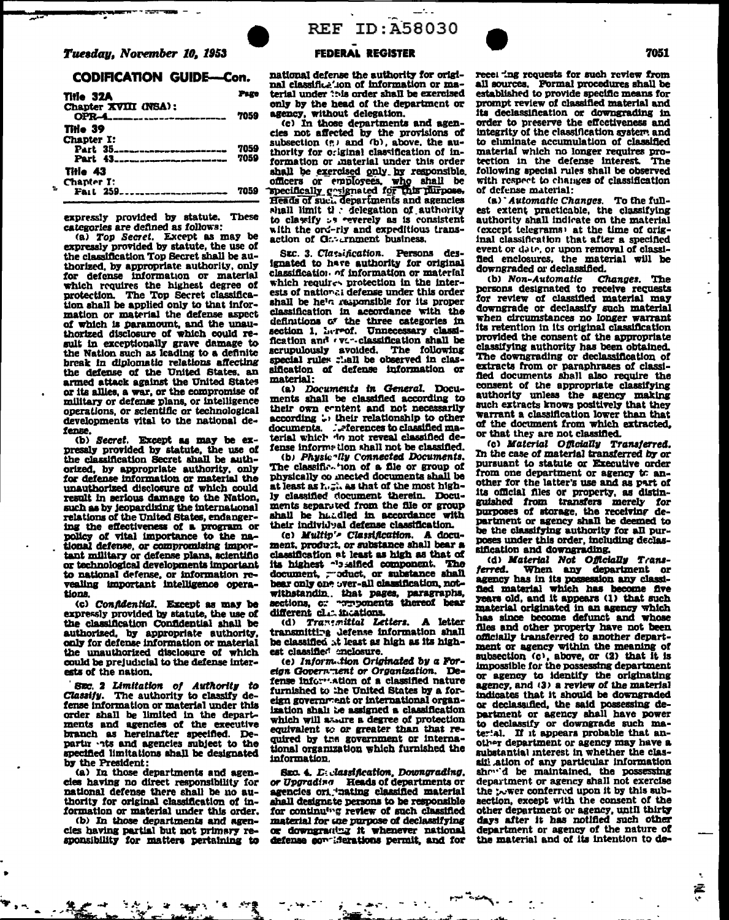#### **CODIFICATION GUIDE-Con.**

| Tirie 32A                                                                                                       | Page         |
|-----------------------------------------------------------------------------------------------------------------|--------------|
| Chapter XVIII (NSA):<br>$OPR-4$                                                                                 | 7059         |
| Title 39<br>Chapter I:<br>Part 35 <sub>--------</sub><br>.<br>موجود موجود الم مور <del>د الم</del> ر<br>Part 43 | 7059<br>7059 |
| Tille 43<br>Chapter I:<br>Fail 259<br>___________                                                               |              |

expressly provided by statute. These categories are defined as follows:

(a) Top Secret. Except as may be expressly provided by statute, the use of the classification Top Secret shall be authorized, by appropriate authority, only for defense information or material which requires the highest degree of protection. The Top Secret classifica-<br>tion shall be applied only to that information or material the defense aspect of which is paramount, and the unauthorized disclosure of which could result in exceptionally grave damage to the Nation such as leading to a definite break in diplomatic relations affecting<br>the defense of the United States, an armed attack against the United States<br>or its allies, a war, or the compromise of military or defense plans, or intelligence operations, or scientific or technological developments vital to the national defense.

(b) Secret. Except as may be expressly provided by statute, the use of the classification Secret shall be authorized, by appropriate authority, only for defense information or material the unauthorized disclosure of which could result in serious damage to the Nation, such as by jeopardizing the international relations of the United States, endangering the effectiveness of a program or policy of vital importance to the national defense, or compromising important military or defense plans, actentific or technological developments important to national defense, or information re-<br>vealing important intelligence operations.

(c) Confidential. Except as may be expressly provided by statute, the use of the classification Confidential shall be authorized, by appropriate authority, only for defense information or material the unauthorized disclosure of which could be prejudicial to the defense interests of the nation.

SEC. 2 Limitation of Authority to Classify. The authority to classify defense information or material under this order shall be limited in the departments and agencies of the executive branch as hereinafter specified. De-<br>partir -its and agencies subject to the specified limitations shall be designated by the President:

(a) In those departments and agencles having no direct responsibility for national defense there shall be no authority for original classification of information or material under this order.

(b) In those departments and agencles having partial but not primary responsibility for matters pertaining to

# **REF ID: A58030**



 $-1$ 

national defense the authority for original classifice ton of information or material under ?? is order shall be exercised only by the head of the department or agency, without delegation.

(c) In those departments and agencles not affected by the provisions of subsection (e) and (b), above, the au-<br>thority for original classification of information or material under this order shall be exercised only by responsible. officers or employees, who shall be<br>specifically costenated for this purpose,<br>Heads of such departments and agencies shall limit ti : delegation of authority<br>to classify > s reverely as is consistent with the ord-rly and expeditious transaction of G. Trament business.

SEC. 3. Classification. Persons des-<br>ignated to have authority for original classification of information or material which requires protection in the interests of national defense under this order shall be he's responsible for its proper classification in accordance with the definitions of the three categories in<br>section 1, Lereof. Unnecessary classification and ever-classification shall be scrupulously avoided. The following sification of defense information or material:

(a) Documents in General. Documents shall be classified according to their own content and not necessarily according : their relationship to other documents. . . . - ferences to classified material which do not reveal classified defense informe tion shall not be classified.

(b) Physic 'lly Connected Documents. The classification of a file or group of physically co mected documents shall be at least as he as that of the most highly classified document therein. Documents separated from the file or group shall be haddled in accordance with their individual defense classification.

(c) Multip's Classification. A document, product, or substance shall bear a classification at least as high as that of its highest "bisified component. The document, - oduct, or substance shall bear only one over-all classification, notwithstandin. that pages, paragraphs, sections, or proponents thereof bear different cl.c. incations.

(d) Tranemittal Letters. A letter transmitting defense information shall be classified at least as high as its highest classifies? enclosure.

(e) Information Originated by a Foreign Government or Organization. Defense information of a classified nature furnished to the United States by a foreign government or international organization shall be assigned a classification which will assure a degree of protection equivalent to or greater than that required by the government or international organization which furnished the information.

Sxc. 4. D. classification, Downgrading, or Upgrading Heads of departments or<br>agencies ori "nating classified material shall designate persons to be responsible for continuing review of such classified material for the purpose of declassifying or downgratter it whenever national defense condiderations permit, and for recel 'ng requests for such review from all sources. Formal procedures shall be established to provide specific means for prompt review of classified material and its declassification or downgrading in order to preserve the effectiveness and integrity of the classification system and to eliminate accumulation of classified material which no longer requires protection in the defense interest. The following special rules shall be observed with respect to changes of classification of defense material:

(a) Automatic Changes. To the fullest extent practicable, the classifying authority shall indicate on the material (except telegrams) at the time of original classification that after a specified event or date, or upon removal of classifled enclosures, the material will be downgraded or declassified.

(b) Non-Automatic Changes. The persons designated to receive requests for review of classified material may downgrade or declassify such material when circumstances no longer warrant its retention in its original classification provided the consent of the appropriate classifying authority has been obtained. The downgrading or declassification of extracts from or paraphrases of classi-<br>fied documents shall also require the consent of the appropriate classifying authority unless the agency making such extracts knows positively that they warrant a classification lower than that of the document from which extracted, or that they are not classified.

(c) Material Officially Transferred. In the case of material transferred by or pursuant to statute or Executive order from one department or agency to another for the latter's use and as part of its official files or property, as distinguished from transfers merely for purposes of storage, the receiving department or agency shall be deemed to be the classifying authority for all purposes under this order, including declassification and downgrading.

d) Material Not Officially Trans-<br>ferred. When any department or<br>agency has in its possession any classified material which has become five years old, and it appears (1) that such material originated in an agency which has since become defunct and whose files and other property have not been officially transferred to another department or agency within the meaning of subsection (c), above, or (2) that it is impossible for the possessing department or agency to identify the originating agency, and (3) a review of the material indicates that it should be downgraded or declassified, the said possessing department or agency shall have power to declassify or downgrade such matertal. If it appears probable that another department or agency may have a substantial interest in whether the classiti ation of any particular information<br>show'd be maintained, the possessing department or agency shall not exercise the power conferred upon it by this subsection, except with the consent of the other department or agency, until thirty days after it has notified such other department or agency of the nature of the material and of its intention to de-

£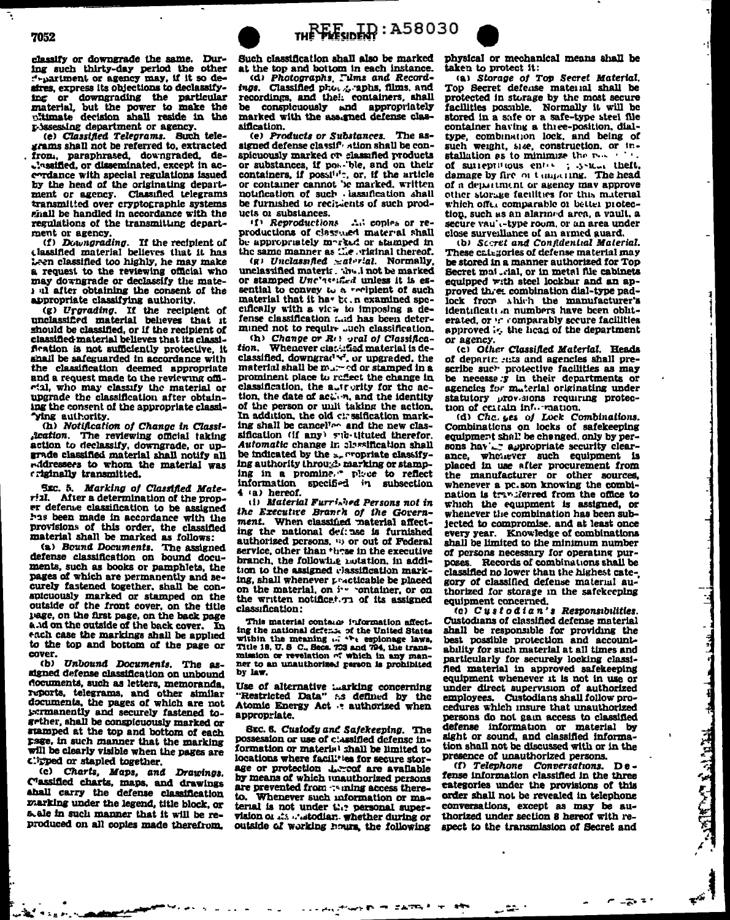classify or downgrade the same. During such thirty-day period the other<br>f-partment or agency may, if it so deafres, express its objections to declassifying or downgrading the particular material, but the power to make the r->ssessing department or agency.

(e) Classified Telegrams. Such tele-<br>grams shall not be referred to, extracted from, paraphrased, downgraded, dethe sined, or disseminated, except in acendance with special regulations issued by the head of the originating department or agency. Classified telegrams transmitted over cryptographic systems ghall be handled in accordance with the regulations of the transmitting department or agency.

(f) Downgrading. If the recipient of classified material believes that it has Leen classified too highly, he may make a request to the reviewing official who may downgrade or declassify the matei all after obtaining the consent of the appropriate classifying authority.

(g) Urgrading. If the recipient of<br>unclassified material believes that it<br>should be classified, or if the recipient of classified material believes that its classifiration is not sufficiently protective, it shall be safeguarded in accordance with the classification deemed appropriate and a request made to the reviewing official, who may classify the material or upgrade the classification after obtaining the consent of the appropriate classi-'ying authority.

(h) Notification of Change in Classi*fication*. The reviewing official taking action to declassify, downgrade, or upgrade classified material shall notify all nddressees to whom the material was criginally transmitted.

Sxc. 5. Marking of Classified Mate-After a determination of the prop $ri11$ er defense classification to be assigned has been made in accordance with the provisions of this order, the classified material shall be marked as follows:

(a) Bound Documents. The assigned defense classification on bound documents, such as books or pamphlets, the pages of which are permanently and securely fastened together, shall be conspicuously marked or stamped on the outside of the front cover, on the title page, on the first page, on the back page and on the outside of the back cover. In each case the markings shall be applied to the top and bottom of the page or cover.

(b) Unbound Documents. The assigned defense classification on unbound documents, such as letters, memoranda, reports, telegrams, and other similar documents, the pages of which are not sermanently and securely fastened together, shall be conspicuously marked or stamped at the top and bottom of each page, in such manner that the marking will be clearly visible when the pages are clipped or stapled together.

(c) Charts, Maps, and Drawings. Classified charts, maps, and drawings<br>aball carry the defense classification marking under the legend, title block, or s ale in such manner that it will be reproduced on all copies made therefrom.

Such classification shall also be marked at the top and bottom in each instance. (d) Photographs, Tims and Recordtugs. Classified photos-aphs, films, and<br>recordings, and their containers, shall be conspicuously and appropriately marked with the assigned defense clas-

sification. The as-(e) Products or Substances. signed defense classif ation shall be conspicuously marked or classified products<br>or substances, if powerble, and on their containers, if possi<sup>1,1</sup><sup>-</sup>, or, if the article or container cannot be marked, written notification of such lassification shall be furnished to recisients of such products or substances.

(f) Reproductions Ad copies or reproductions of class and material shall be appropriately marked or stamped in<br>the same manner as the wightal thereof.

(g) Unclassified  $\simeq$  at right. Normally,<br>unclassified material. This is not be marked or stamped Unc'assified unless it is essential to convey to a periplent of such material that it has been examined specifically with a vice to imposing a defense classification and has been determined not to require such classification.

(h) Change or R<sub>(1</sub>) oral of Classifica-Whenever class: fied material is detion. classified, downgrad v', or upgraded, the material shall be marred or stamped in a prominent place to reflect the change in classification, the autrority for the action, the date of action, and the identity of the person or unit taking the action. In addition, the old cirssification marking shall be cancelled and the new classification (if any) sub-tituted therefor. Automatic change in classification shall be indicated by the secrepriate classifying authority through marking or stamping in a promine, " place to reflect<br>information specified in subsection  $4$  (a) hereof.

(i) Material Furrished Persons not in the Executive Branch of the Government. When classified material affecting the national deft ase is furnished authorized persons. " or out of Federal service, other than these in the executive branch, the following notation, in addition to the assigned classification marking, shall whenever practicable be placed on the material, on : v container, or on the written notificat. The of its assigned classification:

This material contains information affect-The material contains control in the United States<br>within the meaning  $\omega_i$  the United States<br>within the meaning  $\omega_i$  the explorage laws,<br>Title 18, U. S C., Secs. 753 and 794, the trans-<br>mission or revelation of which in ner to an unauthorized person is prohibited by law.

Use of alternative *inarking* concerning<br>"Restricted Data" :- s defined by the Atomic Energy Act : authorized when appropriate.

SEC. 6. Custody and Safekeeping. The possession or use of classified defense information or material shall be limited to locations where facilities for secure storage or protection .Lercof are available by means of which unauthorized persons are prevented from : ming access thereto. Whenever such information or material is not under  $\mathcal{C}_1$ ? personal supervision of Ats a stodiar. whether during or outside of working hours, the following

ハホ ラ こんでんしゃ

physical or mechanical means shall be taken to protect it:

(a) Storage of Top Secret Material. Top Secret defense material shall be protected in storage by the most secure facilities possible. Normally it will be stored in a safe or a safe-type steel file container having a three-position, dialtype, combination lock, and being of such weight, size, construction, or installation as to minimize the new  $\sim$ of surreprincus entry ; .y-Ran theft, damage by fire on tampering. The head of a department or agency may approve other storage facilities for this material which offer comparable of better protection, such as an alarmed area, a vault, a secure vau' type room, or an area under close surveillance of an armed guard. (b) Sceret and Confidential Material.

These categories of defense material may be stored in a manner authorized for Top Secret mai ...ial, or in metal file cabinets equipped with steel lockbar and an approved three combination dial-type padlock from which the manufacturer's identificati in numbers have been obliterated, or :: comparably secure facilities approved is, the head of the department or agency.

(c) Other Classified Material. Heads of departricuts and agencies shall prescribe such protective facilities as may be necesse y in their departments or agencies for material originating under statutory prov-sions requiring protection of certain information.

(d) Chc. yes of Lock Combinations. Combinations on locks of safekeeping equipment shall be changed, only by persons hav'. appropriate security clearance, whenever such equipment is placed in use after procurement from the manufacturer or other sources, whenever a pc.son knowing the combination is trivilerred from the office to which the equipment is assigned, or whenever the combination has been subjected to compromise, and at least once every year. Knowledge of combinations shall be limited to the minimum number of persons necessary for operating purposes Records of combinations shall be classified no lower than the highest category of classified defense material authorized for storage in the safekceping equipment concerned.

(c) Custodian's Responsibilities. Custodians of classified defense material shall be responsible for providing the best possible protection and accountability for such material at all times and particularly for securely locking classified material in approved safekeeping equipment whenever it is not in use or under direct supervision of authorized employees. Custodians shall follow procedures which insure that unauthorized persons do not gain access to classified defense information or material by sight or sound, and classified information shall not be discussed with or in the presence of unauthorized persons.

(f) Telephone Conversations. Defense information classified in the three categories under the provisions of this order shall not be revealed in telephone conversations, except as may be authorized under section 8 hereof with respect to the transmission of Secret and

**PERSONAL** 

**REALTY DESCRIPTION** 

المعتبي الم

F.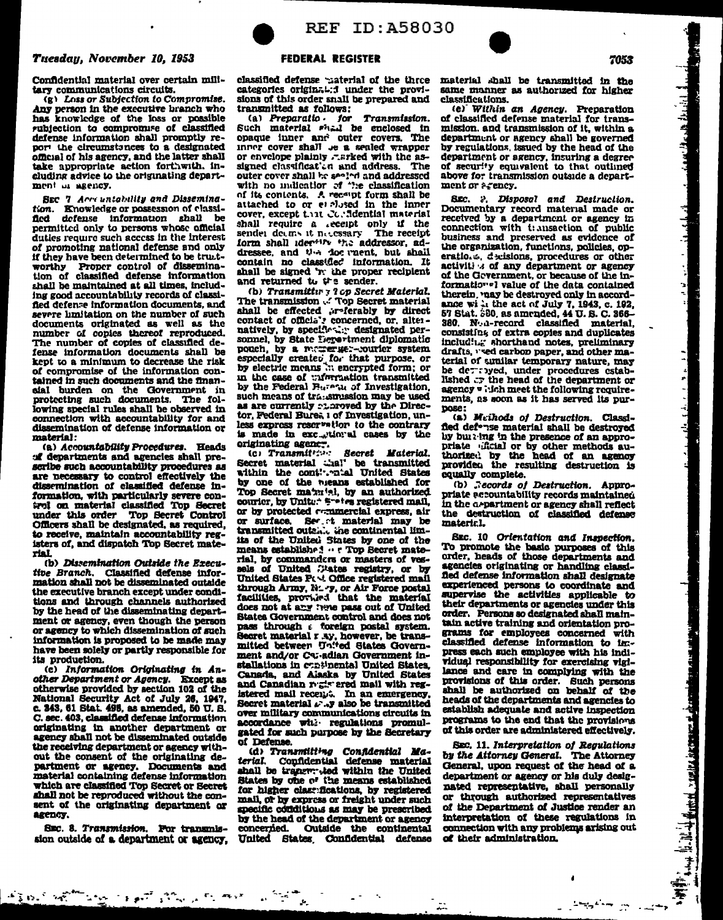#### Tuesdau, November 10, 1953

Confidential material over certain military communications circuits.

(g) Loss or Subjection to Compromise. Any person in the executive branch who has knowledge of the loss or possible subjection to compromise of classified defense information shall promptly report the circumstances to a designated official of his agency, and the latter shall take appropriate action forthwith. including advice to the originating department of seeney.

SEC 7 Acre untability and Dissemination. Knowledge or possession of classiflori. defense information shall be permitted only to persons whose official duties require such access in the interest of promoting national defense and only if they have been determined to be trustworthy Proper control of dissemina-<br>tion of classified defense information shall be maintained at all times, including good accountability records of classified defense information documents, and severe limitation on the number of such documents originated as well as the number of copies thereof reproduced. The number of copies of classified defense information documents shall be kept to a minimum to decrease the risk of compromise of the information contained in such documents and the financial burden on the Government in protecting such documents. The following special rules shall be observed in connection with accountability for and dissemination of defense information or material:

(a) Accountability Procedures. Heads of departments and agencies shall prescribe such accountability procedures as are necessary to control effectively the<br>dissemination of classified defense information, with particularly severe control on material classified Top Secret<br>under this order Top Secret Control Officers shall be designated, as required, to receive, maintain accountability registers of, and dispatch Top Secret material.

(b) Dissemination Outside the Executive Branch. Classified defense information shall not be disseminated outside the executive branch except under conditions and through channels authorized by the head of the disseminating department or agency, even though the person or agency to which dissemination of such information is proposed to be made may have been solely or partly responsible for its production.

(c) Information Originating in Another Department or Agency. Except as otherwise provided by section 102 of the National Security Act of July 26, 1947, c. 343, 61 Stat. 498, as amended, 50 U.S. C. sec. 403, classified defense information originating in another department or agency shall not be disseminated outside the receiving department or agency without the consent of the originating department or agency. Documents and material containing defense information which are classified Top Secret or Secret shall not be reproduced without the consent of the originating department or agency.

SEC. 8. Transmission. Por transmission outside of a department or agency.

يواضح المستحجب والمتهاري والمتعارف والمستحدث والمتحاد



#### **FEDERAL REGISTER**

classified defense taterial of the three categories original: i under the provisions of this order snall be prepared and transmitted as follows:

(a) Preparatio for Transmission.<br>Such material shall be enclosed in opaque inner and outer covers. The inner cover shall be a sealed wrapper or envelope plainly rarked with the assigned classificat in and address. The outer cover shall he seeked and addressed with no indication of the classification<br>of its contents. A recent form shall be attached to or et alused in the inner cover, except that Corddential material shall require a seeipt only if the<br>sender deems it necessary. The receipt form shall identify the addressor, addressee, and the doc ment, but shall contain no classified information. It shall be signed 'r: the proper recipient and returned to the sender.

(b) Transmittir 7 2 op Secret Material. The transmission ... Top Secret material natively, by specifically designated personnel, by State Lepertment diplomatic pouch, by a memory ex-courier system especially created for that purpose, or by electric means in encrypted form; or in the case of withraction transmitted by the Federal Buranu of Investigation. such means of transmussion may be used as are currently cloroved by the Director. Federal Bures 1 of Investigation, unless express reservation to the contrary is made in exc., tional cases by the originating agency.

Secret Material. Secret material thal' be transmitted within the cont!"."n'al United States by one of the nieans established for Top Secret maximul, by an authorized courier, by Unite: \* \*-\*\*\* registered mail, or by protected remmercial express, air or surface. Sec. t material may be transmitted outsile the continental limits of the United States by one of the means established ... Top Secret material, by commanders or masters of ves-United States Pt vt Office registered mail through Army, N. - y, or Air Force postal facilities, provided that the material does not at any twe pass out of United States Government control and does not pass through a foreign postal system. Secret material r sy, however, be transmitted between United States Government and/or Caradian Government installations in cumthental United States, Canada, and Alaska by United States and Canadian registered mail with registered mail receipt. In an emergency,<br>Secret material  $\mu$ , y also be transmitted over military communications circuits in accordance with regulations promulgated for such purpose by the Secretary of Defense.

(d) Transmitting Confidential Ma-<br>rial. Confidential defense material terial. shall be tranger; ted within the United States by one of the means established for higher class fications, by registered mail, or by express or freight under such specific conditions as may be prescribed by the head of the department or agency concerned. Outside the continental United States Confidential defense material shall be transmitted in the same manner as authorized for higher classifications.

(e) Within an Agency. Preparation of classified defense material for transmission, and transmission of it, within a department or agency shall be governed by regulations, issued by the head of the department or agency, insuring a degree of security courvalent to that outlined above for transmission outside a department or acency.

SEC. 2. Disposal and Destruction. Documentary record material made or received by a department or agency in connection with transaction of public business and preserved as evidence of the organization, functions, policies, operations, decisions, procedures or other activiti : of any department or agency of the Gevernment, or because of the informationel value of the data contained therein, vaay be destroyed only in accordance wi in the act of July 7, 1943, c. 192,<br>57 Stat. 580, as amended, 44 U.S. C. 366-380. N. a-record classified material. consisting of extra copies and duplicates including shorthand notes, preliminary drafts, "sed carbon paper, and other material of similar temporary nature, may be detroyed, under procedures estab-<br>lished at the head of the department or agency " idch meet the following requirements, as soon as it has served its purpose:

(a) Meihods of Destruction. Classifled def<sup>\*</sup>;se material shall be destroyed by builting in the presence of an appropriate dicial or by other methods authorized by the head of an agency providen the resulting destruction is equally complete.

(b) Records of Destruction. Appropriate accountability records maintained in the a-partment or agency shall reflect<br>the destruction of classified defense material.

SEC. 10 Orientation and Inspection. To promote the basic purposes of this order, heads of those departments and agencies originating or handling classified defense information shall designate experienced persons to coordinate and supervise the activities applicable to their departments or agencies under this order. Persons so designated shall maintain active training and orientation programs for employees concerned with classified defense information to in:press each such employee with his individual responsibility for exercising vigilance and care in complying with the provisions of this order. Such persons shall be authorized on behalf of the heads of the departments and agencies to establish adequate and active inspection programs to the end that the provisions of this order are administered effectively.

SEC. 11. Interpretation of Regulations by the Attorney General. The Attorney General, upon request of the head of a department or agency or his duly designated representative, shall personally or through authorized representatives of the Department of Justice render an interpretation of these regulations in connection with any problems arising out of their administration.

 $\overline{\phantom{a}}$ 

 $\bullet$ 

وسيس البراجة فوجدان

SHIP Short is in the growth contains in the stream of the